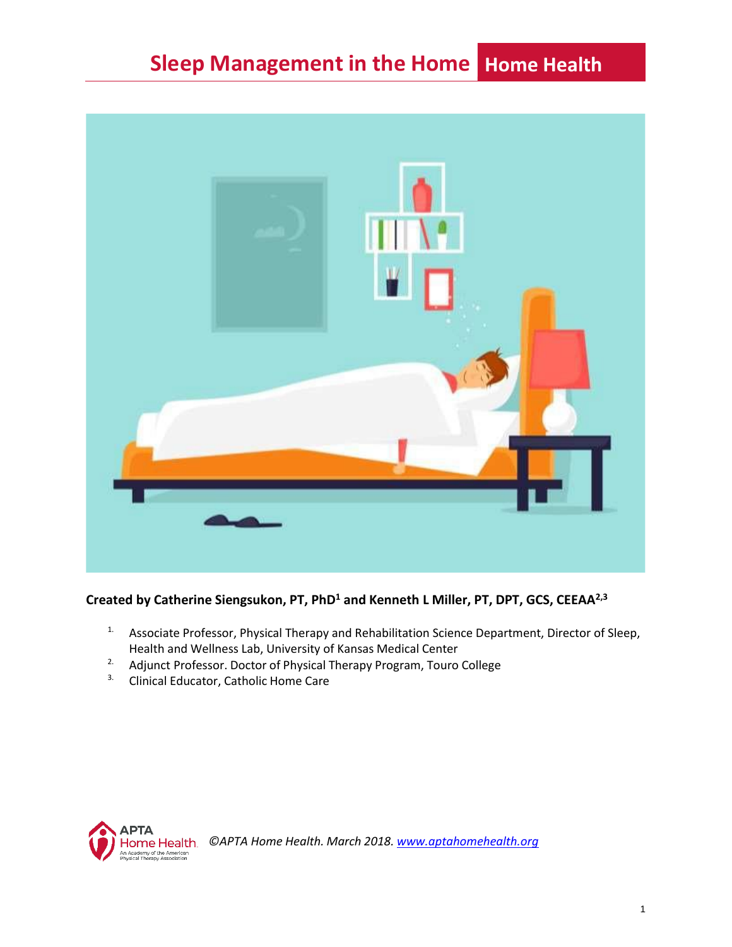

**Created by Catherine Siengsukon, PT, PhD<sup>1</sup> and Kenneth L Miller, PT, DPT, GCS, CEEAA2,3**

- <sup>1.</sup> Associate Professor, Physical Therapy and Rehabilitation Science Department, Director of Sleep, Health and Wellness Lab, University of Kansas Medical Center
- <sup>2.</sup> Adjunct Professor. Doctor of Physical Therapy Program, Touro College
- <sup>3.</sup> Clinical Educator, Catholic Home Care



*©APTA Home Health. March 2018. [www.aptahomehealth.org](http://www.aptahomehealth.org/)*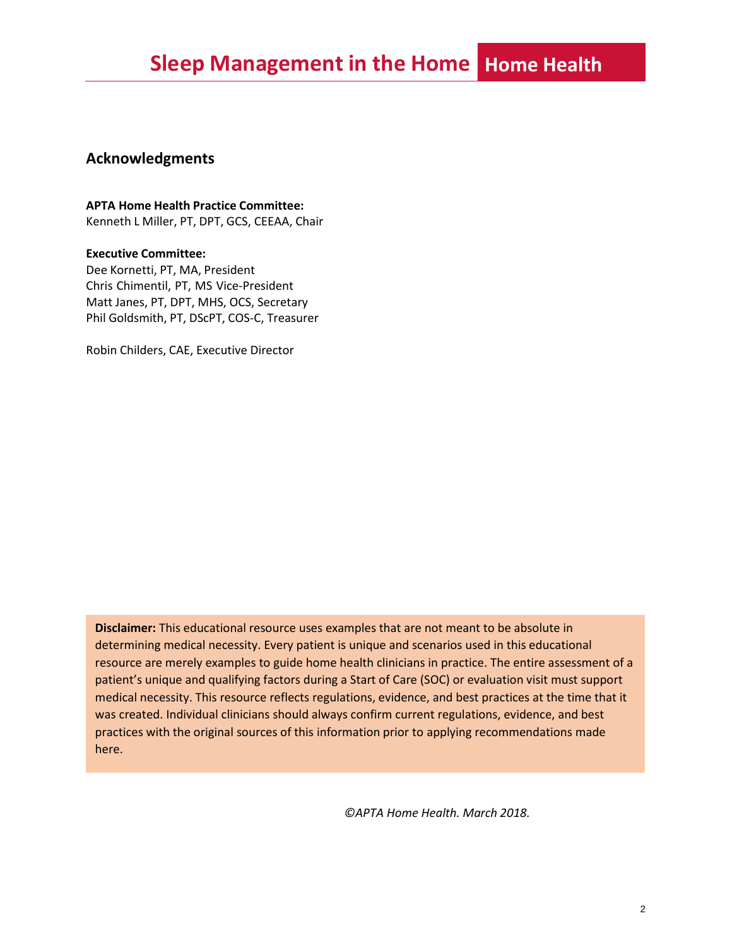#### **Acknowledgments**

#### **APTA Home Health Practice Committee:**

Kenneth L Miller, PT, DPT, GCS, CEEAA, Chair

#### **Executive Committee:**

Dee Kornetti, PT, MA, President Chris Chimentil, PT, MS Vice-President Matt Janes, PT, DPT, MHS, OCS, Secretary Phil Goldsmith, PT, DScPT, COS-C, Treasurer

Robin Childers, CAE, Executive Director

**Disclaimer:** This educational resource uses examples that are not meant to be absolute in determining medical necessity. Every patient is unique and scenarios used in this educational resource are merely examples to guide home health clinicians in practice. The entire assessment of a patient's unique and qualifying factors during a Start of Care (SOC) or evaluation visit must support medical necessity. This resource reflects regulations, evidence, and best practices at the time that it was created. Individual clinicians should always confirm current regulations, evidence, and best practices with the original sources of this information prior to applying recommendations made here.

*©APTA Home Health. March 2018.*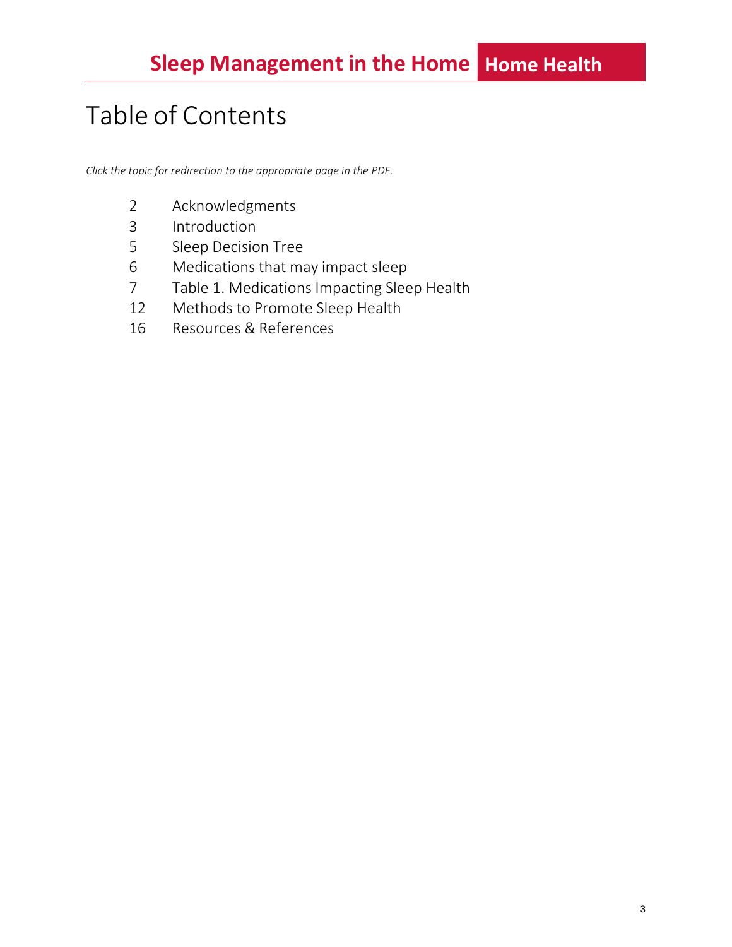# Table of Contents

*Click the topic for redirection to the appropriate page in the PDF.*

- Acknowledgments
- Introduction
- Sleep Decision Tree
- Medications that may impact sleep
- Table 1. Medications Impacting Sleep Health
- Methods to Promote Sleep Health
- Resources & References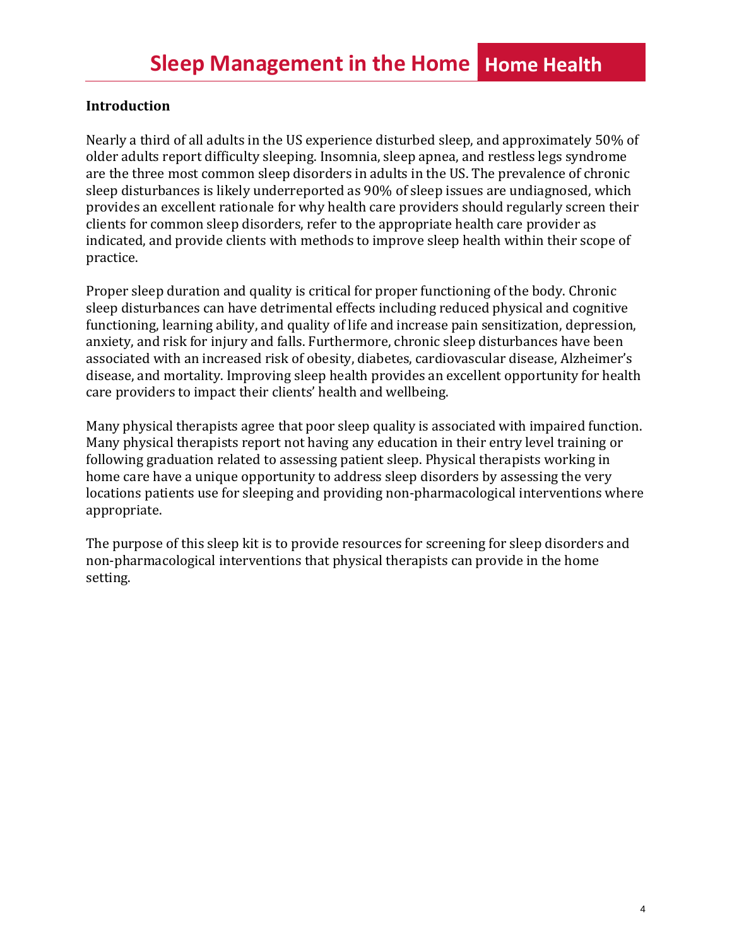### **Introduction**

Nearly a third of all adults in the US experience disturbed sleep, and approximately 50% of older adults report difficulty sleeping. Insomnia, sleep apnea, and restless legs syndrome are the three most common sleep disorders in adults in the US. The prevalence of chronic sleep disturbances is likely underreported as 90% of sleep issues are undiagnosed, which provides an excellent rationale for why health care providers should regularly screen their clients for common sleep disorders, refer to the appropriate health care provider as indicated, and provide clients with methods to improve sleep health within their scope of practice.

Proper sleep duration and quality is critical for proper functioning of the body. Chronic sleep disturbances can have detrimental effects including reduced physical and cognitive functioning, learning ability, and quality of life and increase pain sensitization, depression, anxiety, and risk for injury and falls. Furthermore, chronic sleep disturbances have been associated with an increased risk of obesity, diabetes, cardiovascular disease, Alzheimer's disease, and mortality. Improving sleep health provides an excellent opportunity for health care providers to impact their clients' health and wellbeing.

Many physical therapists agree that poor sleep quality is associated with impaired function. Many physical therapists report not having any education in their entry level training or following graduation related to assessing patient sleep. Physical therapists working in home care have a unique opportunity to address sleep disorders by assessing the very locations patients use for sleeping and providing non-pharmacological interventions where appropriate.

The purpose of this sleep kit is to provide resources for screening for sleep disorders and non-pharmacological interventions that physical therapists can provide in the home setting.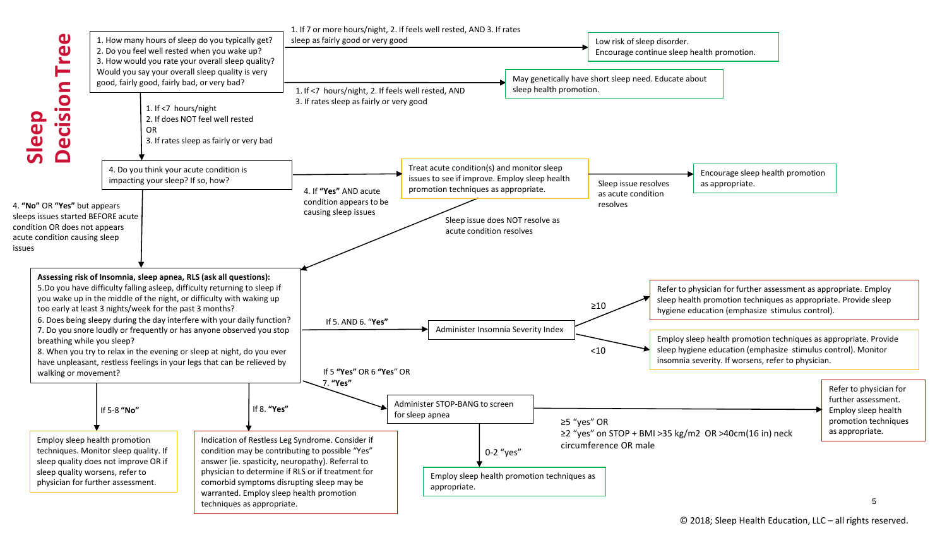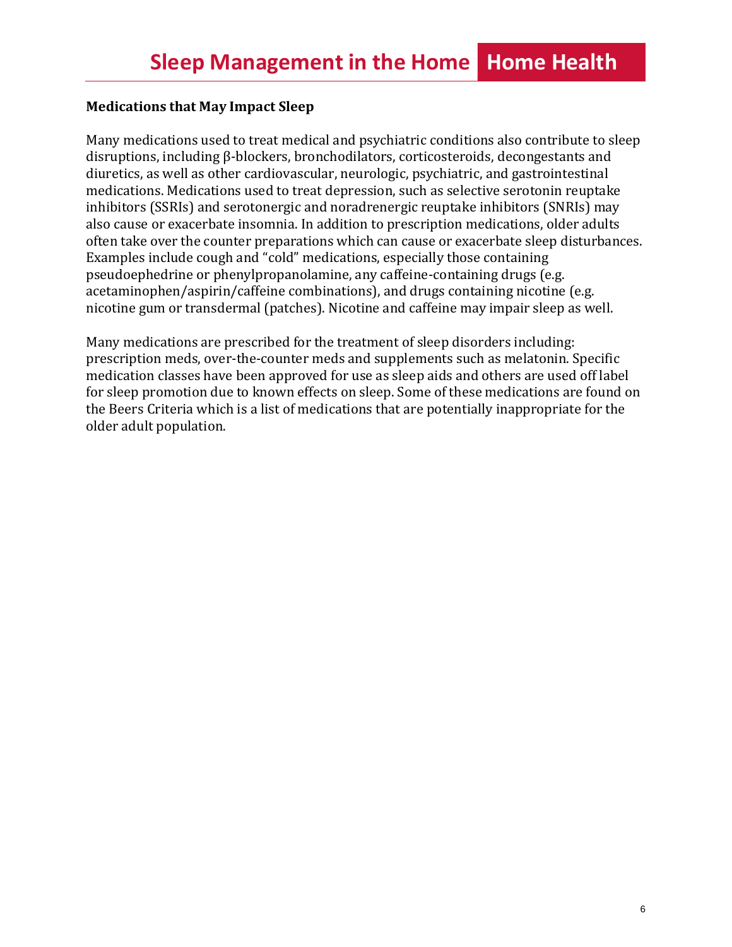#### **Medications that May Impact Sleep**

Many medications used to treat medical and psychiatric conditions also contribute to sleep disruptions, including β-blockers, bronchodilators, corticosteroids, decongestants and diuretics, as well as other cardiovascular, neurologic, psychiatric, and gastrointestinal medications. Medications used to treat depression, such as selective serotonin reuptake inhibitors (SSRIs) and serotonergic and noradrenergic reuptake inhibitors (SNRIs) may also cause or exacerbate insomnia. In addition to prescription medications, older adults often take over the counter preparations which can cause or exacerbate sleep disturbances. Examples include cough and "cold" medications, especially those containing pseudoephedrine or phenylpropanolamine, any caffeine-containing drugs (e.g. acetaminophen/aspirin/caffeine combinations), and drugs containing nicotine (e.g. nicotine gum or transdermal (patches). Nicotine and caffeine may impair sleep as well.

Many medications are prescribed for the treatment of sleep disorders including: prescription meds, over-the-counter meds and supplements such as melatonin. Specific medication classes have been approved for use as sleep aids and others are used off label for sleep promotion due to known effects on sleep. Some of these medications are found on the Beers Criteria which is a list of medications that are potentially inappropriate for the older adult population.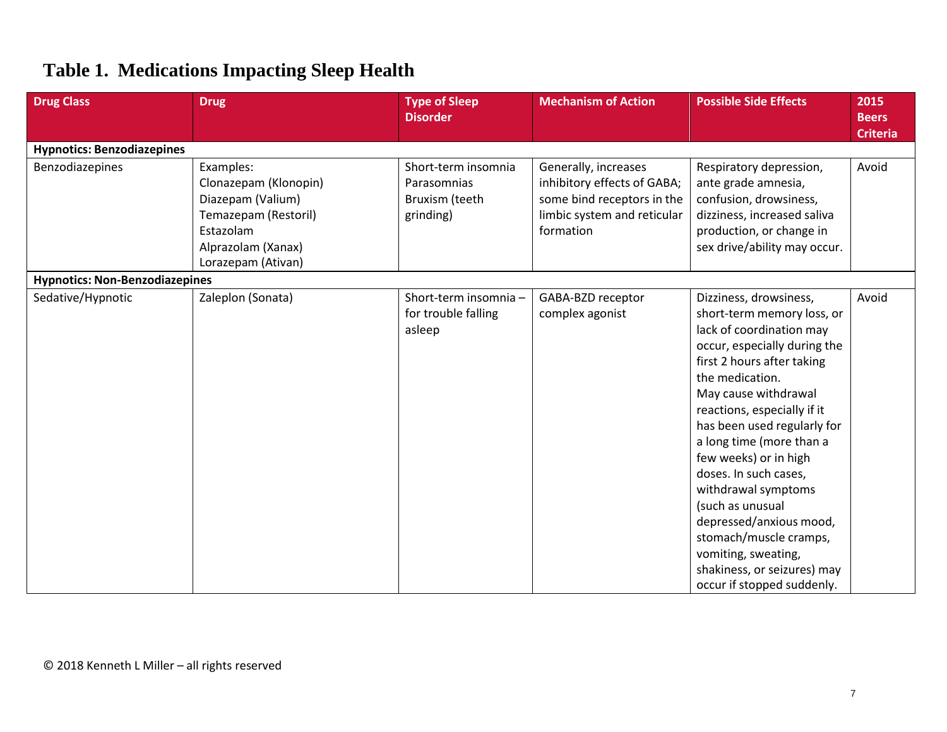# **Table 1. Medications Impacting Sleep Health**

| <b>Drug Class</b>                     | <b>Drug</b>                                                                                                                              | <b>Type of Sleep</b><br><b>Disorder</b>                           | <b>Mechanism of Action</b>                                                                                                    | <b>Possible Side Effects</b>                                                                                                                                                                                                                                                                                                                                                                                                                                                                                              | 2015<br><b>Beers</b> |  |  |
|---------------------------------------|------------------------------------------------------------------------------------------------------------------------------------------|-------------------------------------------------------------------|-------------------------------------------------------------------------------------------------------------------------------|---------------------------------------------------------------------------------------------------------------------------------------------------------------------------------------------------------------------------------------------------------------------------------------------------------------------------------------------------------------------------------------------------------------------------------------------------------------------------------------------------------------------------|----------------------|--|--|
|                                       |                                                                                                                                          |                                                                   |                                                                                                                               |                                                                                                                                                                                                                                                                                                                                                                                                                                                                                                                           | <b>Criteria</b>      |  |  |
| <b>Hypnotics: Benzodiazepines</b>     |                                                                                                                                          |                                                                   |                                                                                                                               |                                                                                                                                                                                                                                                                                                                                                                                                                                                                                                                           |                      |  |  |
| Benzodiazepines                       | Examples:<br>Clonazepam (Klonopin)<br>Diazepam (Valium)<br>Temazepam (Restoril)<br>Estazolam<br>Alprazolam (Xanax)<br>Lorazepam (Ativan) | Short-term insomnia<br>Parasomnias<br>Bruxism (teeth<br>grinding) | Generally, increases<br>inhibitory effects of GABA;<br>some bind receptors in the<br>limbic system and reticular<br>formation | Respiratory depression,<br>ante grade amnesia,<br>confusion, drowsiness,<br>dizziness, increased saliva<br>production, or change in<br>sex drive/ability may occur.                                                                                                                                                                                                                                                                                                                                                       | Avoid                |  |  |
| <b>Hypnotics: Non-Benzodiazepines</b> |                                                                                                                                          |                                                                   |                                                                                                                               |                                                                                                                                                                                                                                                                                                                                                                                                                                                                                                                           |                      |  |  |
| Sedative/Hypnotic                     | Zaleplon (Sonata)                                                                                                                        | Short-term insomnia -<br>for trouble falling<br>asleep            | GABA-BZD receptor<br>complex agonist                                                                                          | Dizziness, drowsiness,<br>short-term memory loss, or<br>lack of coordination may<br>occur, especially during the<br>first 2 hours after taking<br>the medication.<br>May cause withdrawal<br>reactions, especially if it<br>has been used regularly for<br>a long time (more than a<br>few weeks) or in high<br>doses. In such cases,<br>withdrawal symptoms<br>(such as unusual<br>depressed/anxious mood,<br>stomach/muscle cramps,<br>vomiting, sweating,<br>shakiness, or seizures) may<br>occur if stopped suddenly. | Avoid                |  |  |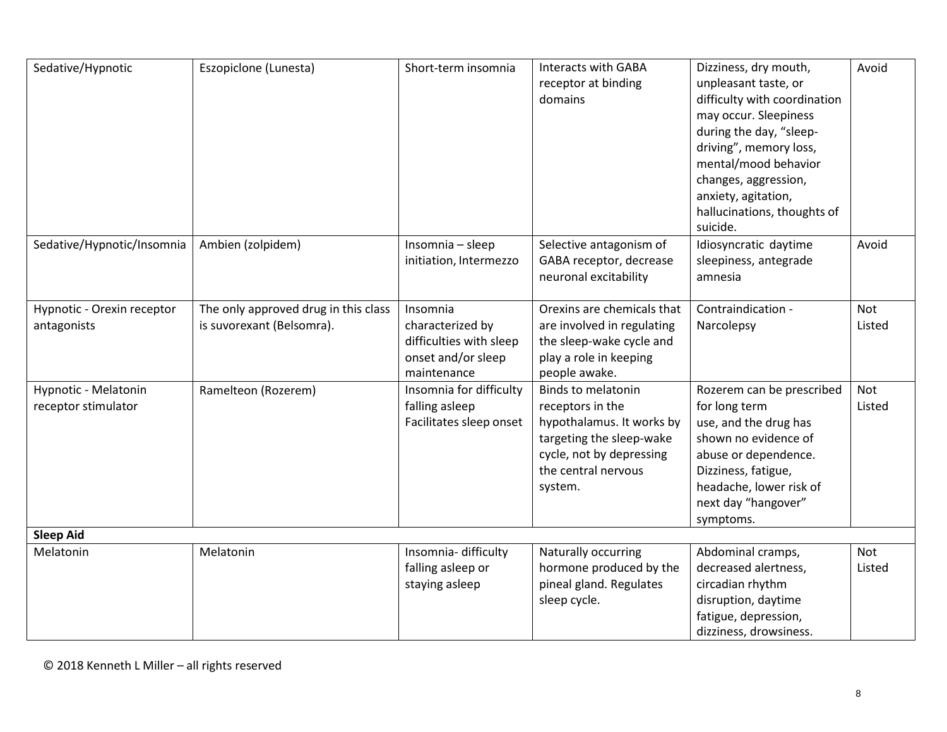| Sedative/Hypnotic                           | Eszopiclone (Lunesta)                                             | Short-term insomnia                                                                          | Interacts with GABA<br>receptor at binding<br>domains                                                                                                                | Dizziness, dry mouth,<br>unpleasant taste, or<br>difficulty with coordination<br>may occur. Sleepiness<br>during the day, "sleep-<br>driving", memory loss,<br>mental/mood behavior<br>changes, aggression,<br>anxiety, agitation,<br>hallucinations, thoughts of<br>suicide. | Avoid                |  |  |
|---------------------------------------------|-------------------------------------------------------------------|----------------------------------------------------------------------------------------------|----------------------------------------------------------------------------------------------------------------------------------------------------------------------|-------------------------------------------------------------------------------------------------------------------------------------------------------------------------------------------------------------------------------------------------------------------------------|----------------------|--|--|
| Sedative/Hypnotic/Insomnia                  | Ambien (zolpidem)                                                 | Insomnia - sleep<br>initiation, Intermezzo                                                   | Selective antagonism of<br>GABA receptor, decrease<br>neuronal excitability                                                                                          | Idiosyncratic daytime<br>sleepiness, antegrade<br>amnesia                                                                                                                                                                                                                     | Avoid                |  |  |
| Hypnotic - Orexin receptor<br>antagonists   | The only approved drug in this class<br>is suvorexant (Belsomra). | Insomnia<br>characterized by<br>difficulties with sleep<br>onset and/or sleep<br>maintenance | Orexins are chemicals that<br>are involved in regulating<br>the sleep-wake cycle and<br>play a role in keeping<br>people awake.                                      | Contraindication -<br>Narcolepsy                                                                                                                                                                                                                                              | Not<br>Listed        |  |  |
| Hypnotic - Melatonin<br>receptor stimulator | Ramelteon (Rozerem)                                               | Insomnia for difficulty<br>falling asleep<br>Facilitates sleep onset                         | <b>Binds to melatonin</b><br>receptors in the<br>hypothalamus. It works by<br>targeting the sleep-wake<br>cycle, not by depressing<br>the central nervous<br>system. | Rozerem can be prescribed<br>for long term<br>use, and the drug has<br>shown no evidence of<br>abuse or dependence.<br>Dizziness, fatigue,<br>headache, lower risk of<br>next day "hangover"<br>symptoms.                                                                     | <b>Not</b><br>Listed |  |  |
| <b>Sleep Aid</b>                            |                                                                   |                                                                                              |                                                                                                                                                                      |                                                                                                                                                                                                                                                                               |                      |  |  |
| Melatonin                                   | Melatonin                                                         | Insomnia-difficulty<br>falling asleep or<br>staying asleep                                   | Naturally occurring<br>hormone produced by the<br>pineal gland. Regulates<br>sleep cycle.                                                                            | Abdominal cramps,<br>decreased alertness,<br>circadian rhythm<br>disruption, daytime<br>fatigue, depression,<br>dizziness, drowsiness.                                                                                                                                        | Not<br>Listed        |  |  |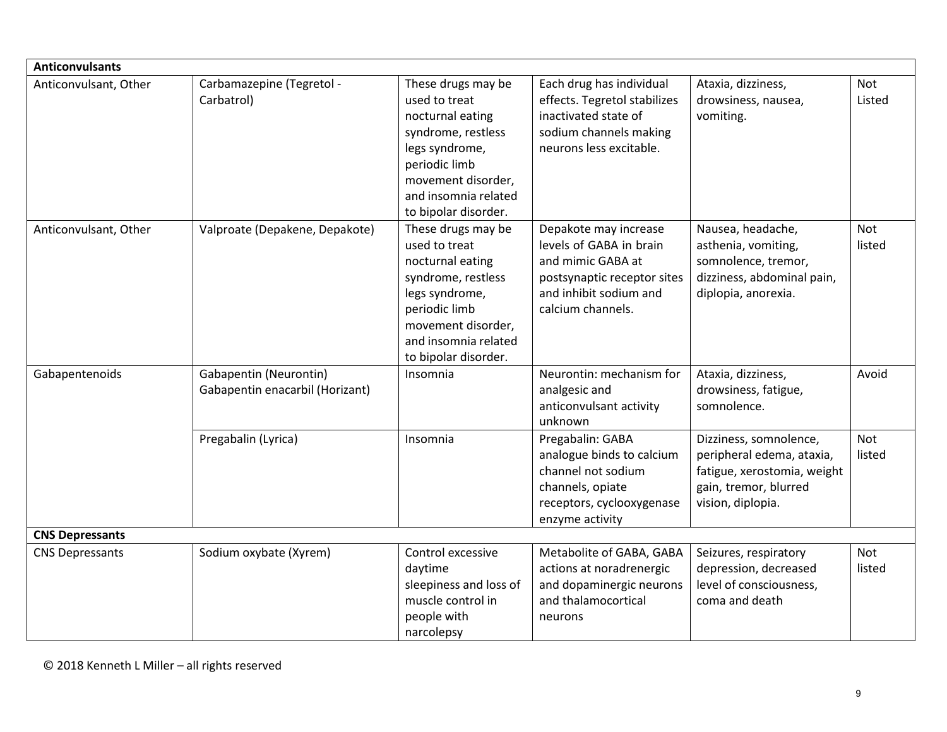| <b>Anticonvulsants</b> |                                                           |                                                                                                                                                                                        |                                                                                                                                                     |                                                                                                                                  |                      |  |
|------------------------|-----------------------------------------------------------|----------------------------------------------------------------------------------------------------------------------------------------------------------------------------------------|-----------------------------------------------------------------------------------------------------------------------------------------------------|----------------------------------------------------------------------------------------------------------------------------------|----------------------|--|
| Anticonvulsant, Other  | Carbamazepine (Tegretol -<br>Carbatrol)                   | These drugs may be<br>used to treat<br>nocturnal eating<br>syndrome, restless<br>legs syndrome,<br>periodic limb<br>movement disorder,<br>and insomnia related<br>to bipolar disorder. | Each drug has individual<br>effects. Tegretol stabilizes<br>inactivated state of<br>sodium channels making<br>neurons less excitable.               | Ataxia, dizziness,<br>drowsiness, nausea,<br>vomiting.                                                                           | <b>Not</b><br>Listed |  |
| Anticonvulsant, Other  | Valproate (Depakene, Depakote)                            | These drugs may be<br>used to treat<br>nocturnal eating<br>syndrome, restless<br>legs syndrome,<br>periodic limb<br>movement disorder,<br>and insomnia related<br>to bipolar disorder. | Depakote may increase<br>levels of GABA in brain<br>and mimic GABA at<br>postsynaptic receptor sites<br>and inhibit sodium and<br>calcium channels. | Nausea, headache,<br>asthenia, vomiting,<br>somnolence, tremor,<br>dizziness, abdominal pain,<br>diplopia, anorexia.             | Not<br>listed        |  |
| Gabapentenoids         | Gabapentin (Neurontin)<br>Gabapentin enacarbil (Horizant) | Insomnia                                                                                                                                                                               | Neurontin: mechanism for<br>analgesic and<br>anticonvulsant activity<br>unknown                                                                     | Ataxia, dizziness,<br>drowsiness, fatigue,<br>somnolence.                                                                        | Avoid                |  |
|                        | Pregabalin (Lyrica)                                       | Insomnia                                                                                                                                                                               | Pregabalin: GABA<br>analogue binds to calcium<br>channel not sodium<br>channels, opiate<br>receptors, cyclooxygenase<br>enzyme activity             | Dizziness, somnolence,<br>peripheral edema, ataxia,<br>fatigue, xerostomia, weight<br>gain, tremor, blurred<br>vision, diplopia. | <b>Not</b><br>listed |  |
| <b>CNS Depressants</b> |                                                           |                                                                                                                                                                                        |                                                                                                                                                     |                                                                                                                                  |                      |  |
| <b>CNS Depressants</b> | Sodium oxybate (Xyrem)                                    | Control excessive<br>daytime<br>sleepiness and loss of<br>muscle control in<br>people with<br>narcolepsy                                                                               | Metabolite of GABA, GABA<br>actions at noradrenergic<br>and dopaminergic neurons<br>and thalamocortical<br>neurons                                  | Seizures, respiratory<br>depression, decreased<br>level of consciousness,<br>coma and death                                      | Not<br>listed        |  |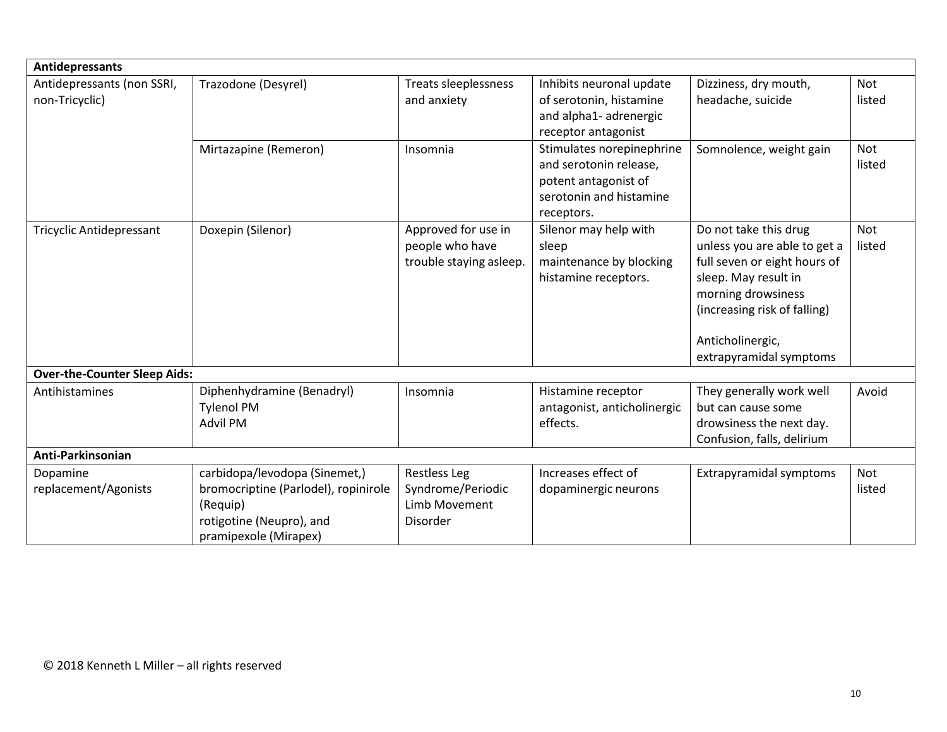| <b>Antidepressants</b>              |                                      |                             |                                                     |                              |                      |  |  |
|-------------------------------------|--------------------------------------|-----------------------------|-----------------------------------------------------|------------------------------|----------------------|--|--|
| Antidepressants (non SSRI,          | Trazodone (Desyrel)                  | <b>Treats sleeplessness</b> | Inhibits neuronal update                            | Dizziness, dry mouth,        | Not                  |  |  |
| non-Tricyclic)                      |                                      | and anxiety                 | of serotonin, histamine                             | headache, suicide            | listed               |  |  |
|                                     |                                      |                             | and alpha1- adrenergic                              |                              |                      |  |  |
|                                     |                                      |                             | receptor antagonist                                 |                              |                      |  |  |
|                                     | Mirtazapine (Remeron)                | Insomnia                    | Stimulates norepinephrine<br>and serotonin release, | Somnolence, weight gain      | <b>Not</b><br>listed |  |  |
|                                     |                                      |                             | potent antagonist of                                |                              |                      |  |  |
|                                     |                                      |                             | serotonin and histamine                             |                              |                      |  |  |
|                                     |                                      |                             | receptors.                                          |                              |                      |  |  |
| <b>Tricyclic Antidepressant</b>     | Doxepin (Silenor)                    | Approved for use in         | Silenor may help with                               | Do not take this drug        | <b>Not</b>           |  |  |
|                                     |                                      | people who have             | sleep                                               | unless you are able to get a | listed               |  |  |
|                                     |                                      | trouble staying asleep.     | maintenance by blocking                             | full seven or eight hours of |                      |  |  |
|                                     |                                      |                             | histamine receptors.                                | sleep. May result in         |                      |  |  |
|                                     |                                      |                             |                                                     | morning drowsiness           |                      |  |  |
|                                     |                                      |                             |                                                     | (increasing risk of falling) |                      |  |  |
|                                     |                                      |                             |                                                     | Anticholinergic,             |                      |  |  |
|                                     |                                      |                             |                                                     | extrapyramidal symptoms      |                      |  |  |
| <b>Over-the-Counter Sleep Aids:</b> |                                      |                             |                                                     |                              |                      |  |  |
| Antihistamines                      | Diphenhydramine (Benadryl)           | Insomnia                    | Histamine receptor                                  | They generally work well     | Avoid                |  |  |
|                                     | <b>Tylenol PM</b>                    |                             | antagonist, anticholinergic                         | but can cause some           |                      |  |  |
|                                     | <b>Advil PM</b>                      |                             | effects.                                            | drowsiness the next day.     |                      |  |  |
|                                     |                                      |                             |                                                     | Confusion, falls, delirium   |                      |  |  |
| Anti-Parkinsonian                   |                                      |                             |                                                     |                              |                      |  |  |
| Dopamine                            | carbidopa/levodopa (Sinemet,)        | <b>Restless Leg</b>         | Increases effect of                                 | Extrapyramidal symptoms      | <b>Not</b>           |  |  |
| replacement/Agonists                | bromocriptine (Parlodel), ropinirole | Syndrome/Periodic           | dopaminergic neurons                                |                              | listed               |  |  |
|                                     | (Requip)                             | Limb Movement               |                                                     |                              |                      |  |  |
|                                     | rotigotine (Neupro), and             | Disorder                    |                                                     |                              |                      |  |  |
|                                     | pramipexole (Mirapex)                |                             |                                                     |                              |                      |  |  |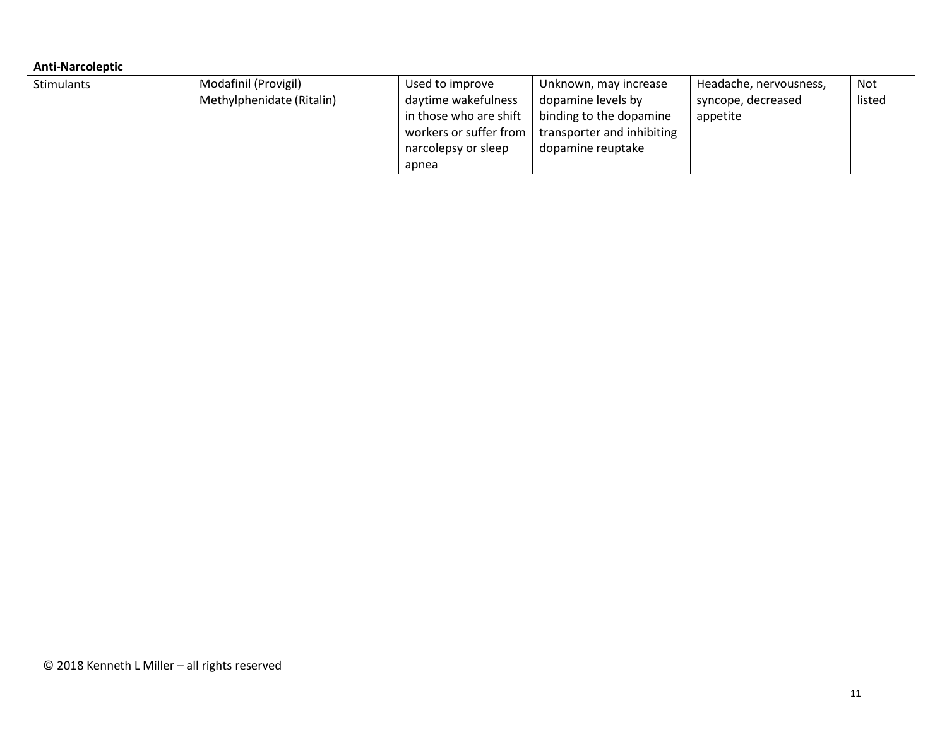| <b>Anti-Narcoleptic</b> |                           |                        |                            |                        |        |
|-------------------------|---------------------------|------------------------|----------------------------|------------------------|--------|
| <b>Stimulants</b>       | Modafinil (Provigil)      | Used to improve        | Unknown, may increase      | Headache, nervousness, | Not    |
|                         | Methylphenidate (Ritalin) | daytime wakefulness    | dopamine levels by         | syncope, decreased     | listed |
|                         |                           | in those who are shift | binding to the dopamine    | appetite               |        |
|                         |                           | workers or suffer from | transporter and inhibiting |                        |        |
|                         |                           | narcolepsy or sleep    | dopamine reuptake          |                        |        |
|                         |                           | apnea                  |                            |                        |        |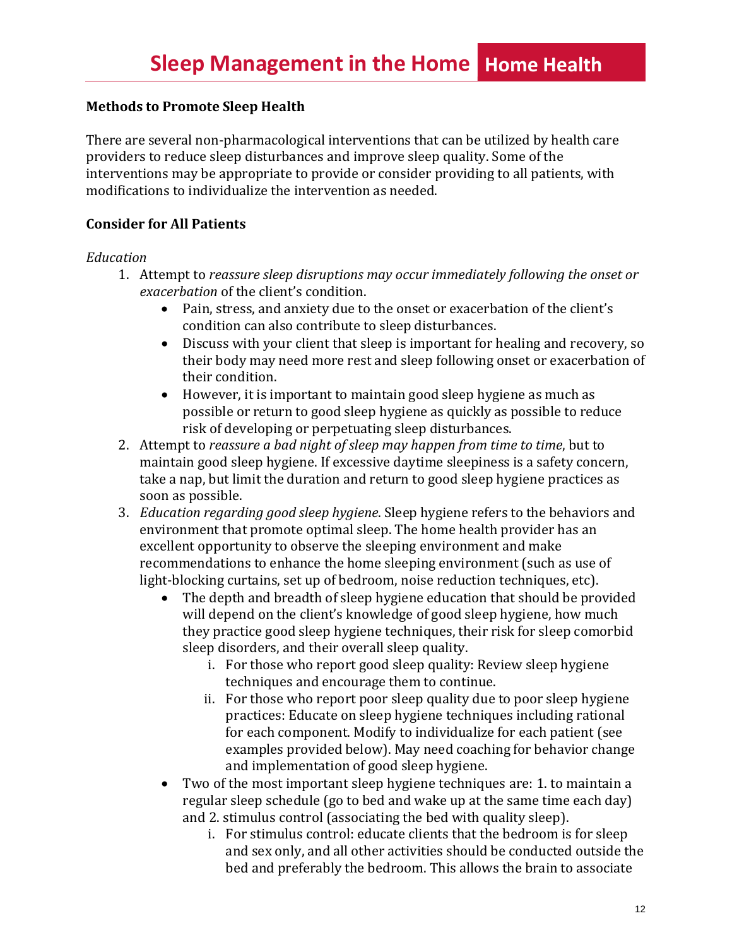#### **Methods to Promote Sleep Health**

There are several non-pharmacological interventions that can be utilized by health care providers to reduce sleep disturbances and improve sleep quality. Some of the interventions may be appropriate to provide or consider providing to all patients, with modifications to individualize the intervention as needed.

#### **Consider for All Patients**

#### *Education*

- 1. Attempt to *reassure sleep disruptions may occur immediately following the onset or exacerbation* of the client's condition.
	- Pain, stress, and anxiety due to the onset or exacerbation of the client's condition can also contribute to sleep disturbances.
	- Discuss with your client that sleep is important for healing and recovery, so their body may need more rest and sleep following onset or exacerbation of their condition.
	- However, it is important to maintain good sleep hygiene as much as possible or return to good sleep hygiene as quickly as possible to reduce risk of developing or perpetuating sleep disturbances.
- 2. Attempt to *reassure a bad night of sleep may happen from time to time*, but to maintain good sleep hygiene. If excessive daytime sleepiness is a safety concern, take a nap, but limit the duration and return to good sleep hygiene practices as soon as possible.
- 3. *Education regarding good sleep hygiene*. Sleep hygiene refers to the behaviors and environment that promote optimal sleep. The home health provider has an excellent opportunity to observe the sleeping environment and make recommendations to enhance the home sleeping environment (such as use of light-blocking curtains, set up of bedroom, noise reduction techniques, etc).
	- The depth and breadth of sleep hygiene education that should be provided will depend on the client's knowledge of good sleep hygiene, how much they practice good sleep hygiene techniques, their risk for sleep comorbid sleep disorders, and their overall sleep quality.
		- i. For those who report good sleep quality: Review sleep hygiene techniques and encourage them to continue.
		- ii. For those who report poor sleep quality due to poor sleep hygiene practices: Educate on sleep hygiene techniques including rational for each component. Modify to individualize for each patient (see examples provided below). May need coaching for behavior change and implementation of good sleep hygiene.
	- Two of the most important sleep hygiene techniques are: 1. to maintain a regular sleep schedule (go to bed and wake up at the same time each day) and 2. stimulus control (associating the bed with quality sleep).
		- i. For stimulus control: educate clients that the bedroom is for sleep and sex only, and all other activities should be conducted outside the bed and preferably the bedroom. This allows the brain to associate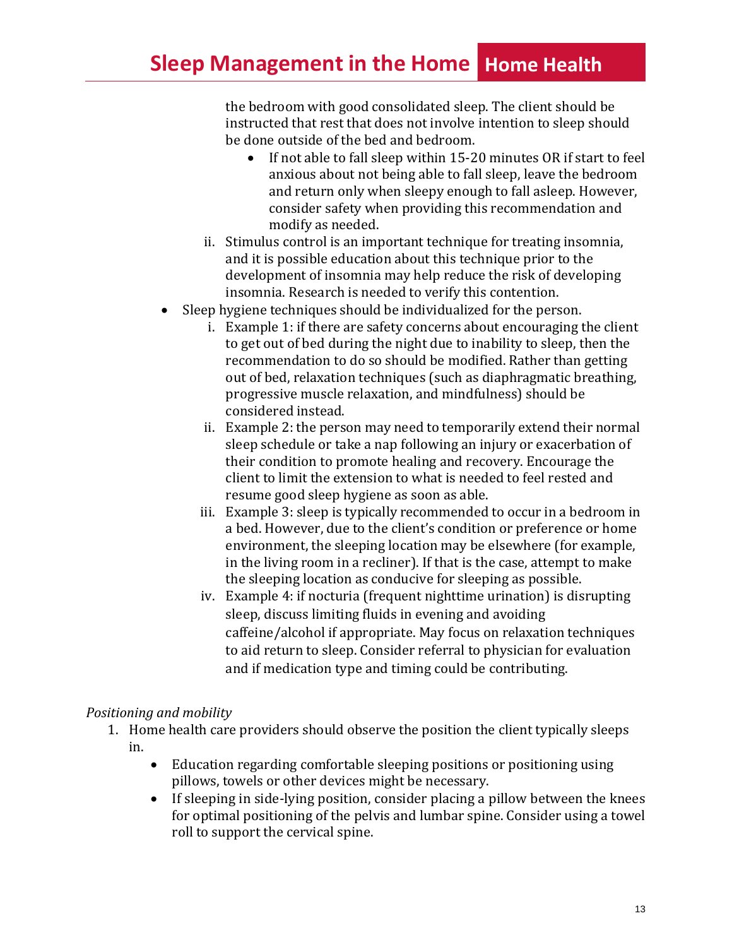the bedroom with good consolidated sleep. The client should be instructed that rest that does not involve intention to sleep should be done outside of the bed and bedroom.

- If not able to fall sleep within 15-20 minutes OR if start to feel anxious about not being able to fall sleep, leave the bedroom and return only when sleepy enough to fall asleep. However, consider safety when providing this recommendation and modify as needed.
- ii. Stimulus control is an important technique for treating insomnia, and it is possible education about this technique prior to the development of insomnia may help reduce the risk of developing insomnia. Research is needed to verify this contention.
- Sleep hygiene techniques should be individualized for the person.
	- i. Example 1: if there are safety concerns about encouraging the client to get out of bed during the night due to inability to sleep, then the recommendation to do so should be modified. Rather than getting out of bed, relaxation techniques (such as diaphragmatic breathing, progressive muscle relaxation, and mindfulness) should be considered instead.
	- ii. Example 2: the person may need to temporarily extend their normal sleep schedule or take a nap following an injury or exacerbation of their condition to promote healing and recovery. Encourage the client to limit the extension to what is needed to feel rested and resume good sleep hygiene as soon as able.
	- iii. Example 3: sleep is typically recommended to occur in a bedroom in a bed. However, due to the client's condition or preference or home environment, the sleeping location may be elsewhere (for example, in the living room in a recliner). If that is the case, attempt to make the sleeping location as conducive for sleeping as possible.
	- iv. Example 4: if nocturia (frequent nighttime urination) is disrupting sleep, discuss limiting fluids in evening and avoiding caffeine/alcohol if appropriate. May focus on relaxation techniques to aid return to sleep. Consider referral to physician for evaluation and if medication type and timing could be contributing.

## *Positioning and mobility*

- 1. Home health care providers should observe the position the client typically sleeps in.
	- Education regarding comfortable sleeping positions or positioning using pillows, towels or other devices might be necessary.
	- If sleeping in side-lying position, consider placing a pillow between the knees for optimal positioning of the pelvis and lumbar spine. Consider using a towel roll to support the cervical spine.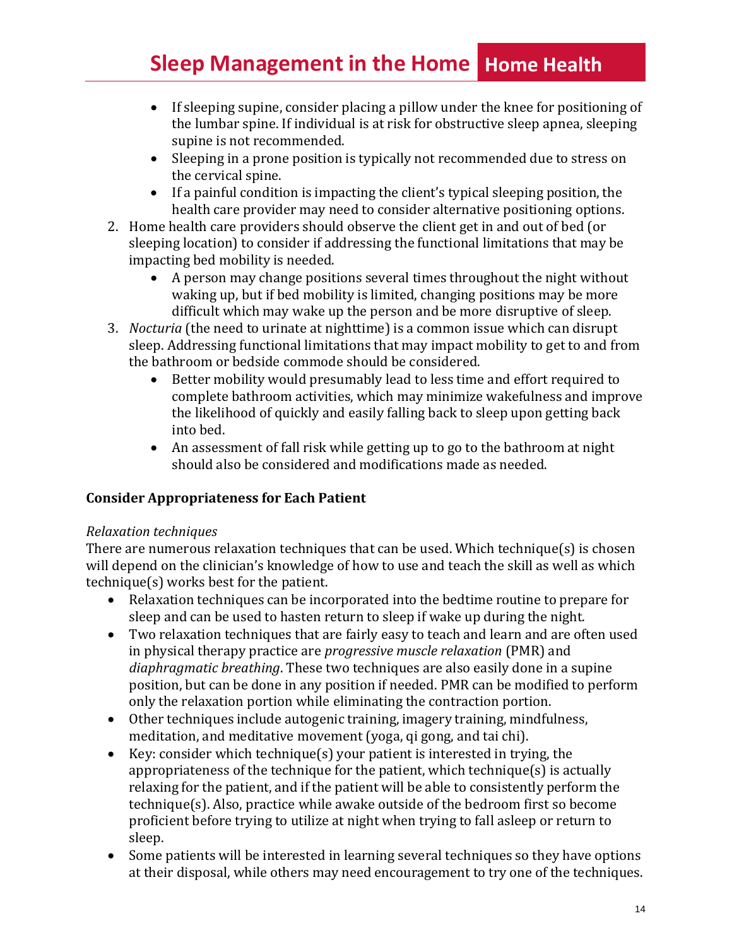# **Sleep Management in the Home Home Health**

- If sleeping supine, consider placing a pillow under the knee for positioning of the lumbar spine. If individual is at risk for obstructive sleep apnea, sleeping supine is not recommended.
- Sleeping in a prone position is typically not recommended due to stress on the cervical spine.
- If a painful condition is impacting the client's typical sleeping position, the health care provider may need to consider alternative positioning options.
- 2. Home health care providers should observe the client get in and out of bed (or sleeping location) to consider if addressing the functional limitations that may be impacting bed mobility is needed.
	- A person may change positions several times throughout the night without waking up, but if bed mobility is limited, changing positions may be more difficult which may wake up the person and be more disruptive of sleep.
- 3. *Nocturia* (the need to urinate at nighttime) is a common issue which can disrupt sleep. Addressing functional limitations that may impact mobility to get to and from the bathroom or bedside commode should be considered.
	- Better mobility would presumably lead to less time and effort required to complete bathroom activities, which may minimize wakefulness and improve the likelihood of quickly and easily falling back to sleep upon getting back into bed.
	- An assessment of fall risk while getting up to go to the bathroom at night should also be considered and modifications made as needed.

## **Consider Appropriateness for Each Patient**

## *Relaxation techniques*

There are numerous relaxation techniques that can be used. Which technique(s) is chosen will depend on the clinician's knowledge of how to use and teach the skill as well as which technique(s) works best for the patient.

- Relaxation techniques can be incorporated into the bedtime routine to prepare for sleep and can be used to hasten return to sleep if wake up during the night.
- Two relaxation techniques that are fairly easy to teach and learn and are often used in physical therapy practice are *progressive muscle relaxation* (PMR) and *diaphragmatic breathing*. These two techniques are also easily done in a supine position, but can be done in any position if needed. PMR can be modified to perform only the relaxation portion while eliminating the contraction portion.
- Other techniques include autogenic training, imagery training, mindfulness, meditation, and meditative movement (yoga, qi gong, and tai chi).
- Key: consider which technique(s) your patient is interested in trying, the appropriateness of the technique for the patient, which technique(s) is actually relaxing for the patient, and if the patient will be able to consistently perform the technique(s). Also, practice while awake outside of the bedroom first so become proficient before trying to utilize at night when trying to fall asleep or return to sleep.
- Some patients will be interested in learning several techniques so they have options at their disposal, while others may need encouragement to try one of the techniques.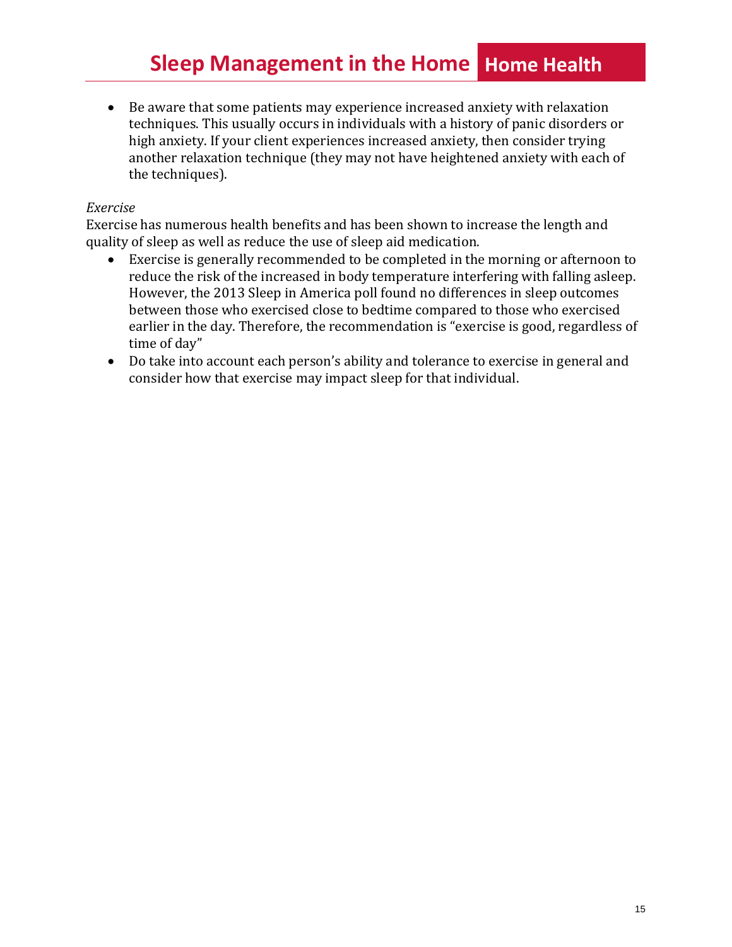# **Sleep Management in the Home Home Health**

• Be aware that some patients may experience increased anxiety with relaxation techniques. This usually occurs in individuals with a history of panic disorders or high anxiety. If your client experiences increased anxiety, then consider trying another relaxation technique (they may not have heightened anxiety with each of the techniques).

#### *Exercise*

Exercise has numerous health benefits and has been shown to increase the length and quality of sleep as well as reduce the use of sleep aid medication.

- Exercise is generally recommended to be completed in the morning or afternoon to reduce the risk of the increased in body temperature interfering with falling asleep. However, the 2013 Sleep in America poll found no differences in sleep outcomes between those who exercised close to bedtime compared to those who exercised earlier in the day. Therefore, the recommendation is "exercise is good, regardless of time of day"
- Do take into account each person's ability and tolerance to exercise in general and consider how that exercise may impact sleep for that individual.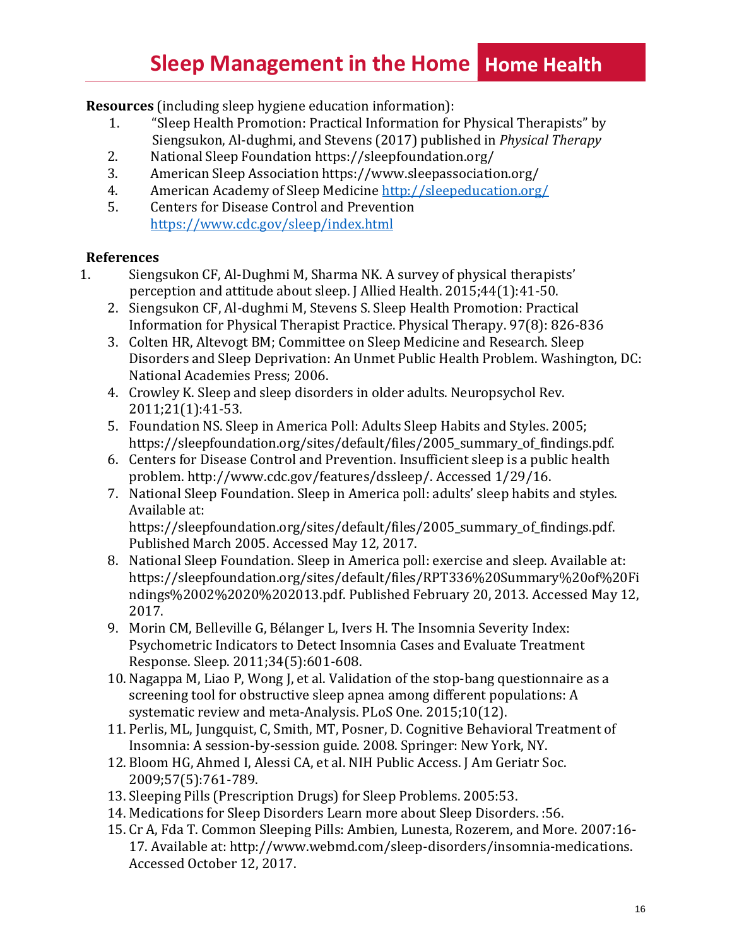# **Sleep Management in the Home Home Health**

**Resources** (including sleep hygiene education information):

- 1. "Sleep Health Promotion: Practical Information for Physical Therapists" by Siengsukon, Al-dughmi, and Stevens (2017) published in *Physical Therapy*
- 2. National Sleep Foundation https://sleepfoundation.org/
- 3. American Sleep Association https[://www.sleepassociation.org/](http://www.sleepassociation.org/)
- 4. American Academy of Sleep Medicine <http://sleepeducation.org/>
- 5. Centers for Disease Control and Prevention <https://www.cdc.gov/sleep/index.html>

### **References**

- 1. Siengsukon CF, Al-Dughmi M, Sharma NK. A survey of physical therapists' perception and attitude about sleep. J Allied Health. 2015;44(1):41-50.
	- 2. Siengsukon CF, Al-dughmi M, Stevens S. Sleep Health Promotion: Practical Information for Physical Therapist Practice. Physical Therapy. 97(8): 826-836
	- 3. Colten HR, Altevogt BM; Committee on Sleep Medicine and Research. Sleep Disorders and Sleep Deprivation: An Unmet Public Health Problem. Washington, DC: National Academies Press; 2006.
	- 4. Crowley K. Sleep and sleep disorders in older adults. Neuropsychol Rev. 2011;21(1):41-53.
	- 5. Foundation NS. Sleep in America Poll: Adults Sleep Habits and Styles. 2005; https://sleepfoundation.org/sites/default/files/2005\_summary\_of\_findings.pdf.
	- 6. Centers for Disease Control and Prevention. Insufficient sleep is a public health problem. [http://www.cdc.gov/features/dssleep/.](http://www.cdc.gov/features/dssleep/) Accessed 1/29/16.
	- 7. National Sleep Foundation. Sleep in America poll: adults' sleep habits and styles. Available at: https://sleepfoundation.org/sites/default/files/2005 summary of findings.pdf.

Published March 2005. Accessed May 12, 2017.

- 8. National Sleep Foundation. Sleep in America poll: exercise and sleep. Available at: https://sleepfoundation.org/sites/default/files/RPT336%20Summary%20of%20Fi ndings%2002%2020%202013.pdf. Published February 20, 2013. Accessed May 12, 2017.
- 9. Morin CM, Belleville G, Bélanger L, Ivers H. The Insomnia Severity Index: Psychometric Indicators to Detect Insomnia Cases and Evaluate Treatment Response. Sleep. 2011;34(5):601-608.
- 10. Nagappa M, Liao P, Wong J, et al. Validation of the stop-bang questionnaire as a screening tool for obstructive sleep apnea among different populations: A systematic review and meta-Analysis. PLoS One. 2015;10(12).
- 11. Perlis, ML, Jungquist, C, Smith, MT, Posner, D. Cognitive Behavioral Treatment of Insomnia: A session-by-session guide. 2008. Springer: New York, NY.
- 12. Bloom HG, Ahmed I, Alessi CA, et al. NIH Public Access. J Am Geriatr Soc. 2009;57(5):761-789.
- 13. Sleeping Pills (Prescription Drugs) for Sleep Problems. 2005:53.
- 14. Medications for Sleep Disorders Learn more about Sleep Disorders. :56.
- 15. Cr A, Fda T. Common Sleeping Pills: Ambien, Lunesta, Rozerem, and More. 2007:16- 17. Available at: [http://www.webmd.com/sleep-disorders/insomnia-medications.](http://www.webmd.com/sleep-disorders/insomnia-medications) Accessed October 12, 2017.